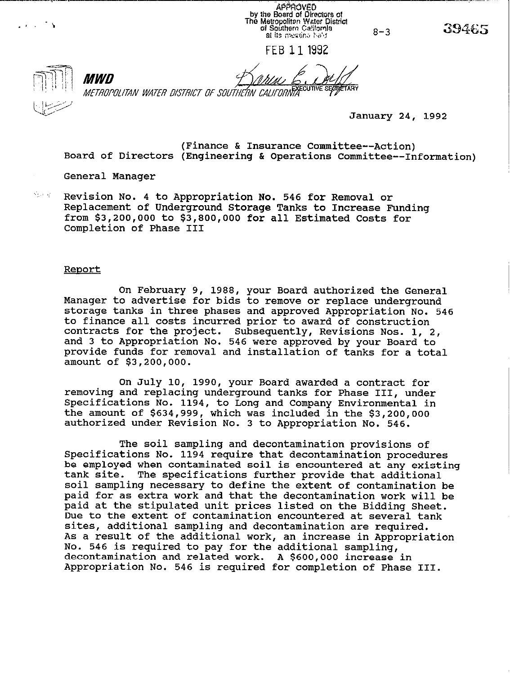**APPROVED** by the Board of Directors of<br>The Metropoliten Water District<br>of Southern California at its meeting half

 $8 - 3$ 

FEB 11 1992

 $\mathcal{L} \leftarrow \mathcal{L} \leftarrow \mathcal{L}$ 

MWD METROPOLITAN WATER DISTRICT OF SOUTHERN CALIFORNIA CUTTLE SECTION

January 24, 1992

(Finance & Insurance Committee--Action) Board of Directors (Engineering & Operations Committee--Information)

General Manager

..:. ;: Revision No. 4 to Appropriation No. 546 for Removal or Replacement of Underground Storage Tanks to Increase Funding from \$3,200,000 to \$3,800,000 for all Estimated Costs for Completion of Phase III

#### Report

On February 9, 1988, your Board authorized the General Manager to advertise for bids to remove or replace underground storage tanks in three phases and approved Appropriation No. 546 to finance all costs incurred prior to award of construction contracts for the project. Subsequently, Revisions Nos. 1, 2, and 3 to Appropriation No. 546 were approved by your Board to provide funds for removal and installation of tanks for a total amount of \$3,200,000.

On July 10, 1990, your Board awarded a contract for removing and replacing underground tanks for Phase III, under Specifications No. 1194, to Long and Company Environmental in the amount of \$634,999, which was included in the \$3,200,000 authorized under Revision No. 3 to Appropriation No. 546.

The soil sampling and decontamination provisions of Specifications No. 1194 require that decontamination procedures be employed when contaminated soil is encountered at any existing tank site. The specifications further provide that additional soil sampling necessary to define the extent of contamination be paid for as extra work and that the decontamination work will be paid at the stipulated unit prices listed on the Bidding Sheet. Due to the extent of contamination encountered at several tank sites, additional sampling and decontamination are required. As a result of the additional work, an increase in Appropriation No. 546 is required to pay for the additional sampling, decontamination and related work. A \$600,000 increase in Appropriation No. 546 is required for completion of Phase III.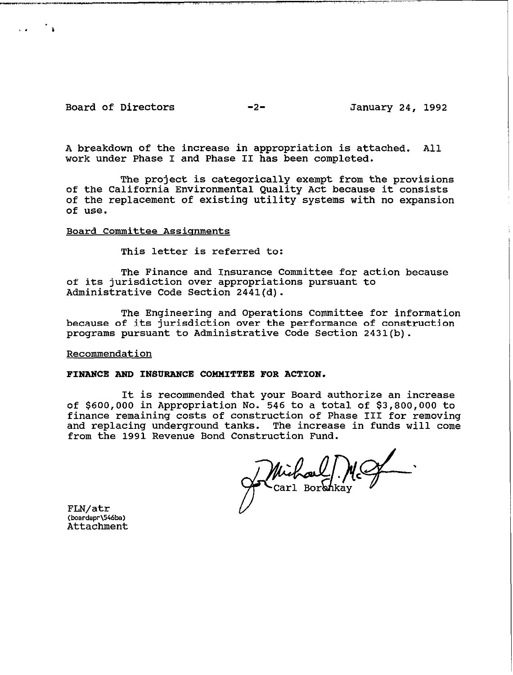## Board of Directors -2- January 24, 1992

.-m-.."w,3Y\_\_\_u\_- ,. ,. .,.,. ,\_ ,., .,. .I. ..,

, \* 'I

.~, ,\_\_1

A breakdown of the increase in appropriation is attached. All work under Phase I and Phase II has been completed.

The project is categorically exempt from the provisions of the California Environmental Quality Act because it consists of the replacement of existing utility systems with no expansion of use.

# Board Committee Assignments

This letter is referred to:

The Finance and Insurance Committee for action because of its jurisdiction over appropriations pursuant to Administrative Code Section 2441(d).

The Engineering and Operations Committee for information because of its jurisdiction over the performance of construction programs pursuant to Administrative Code Section 2431(b).

### Recommendation

### FINANCE AND INSURANCE COMMITTEE FOR ACTION.

It is recommended that your Board authorize an increase of \$600,000 in Appropriation No. 546 to a total of \$3,800,000 to finance remaining costs of construction of Phase III for removing<br>and replacing underground tanks. The increase in funds will come The increase in funds will come from the 1991 Revenue Bond Construction Fund.

Michael Mc

FLN/atr **(boardapr\546ba)**  Attachment